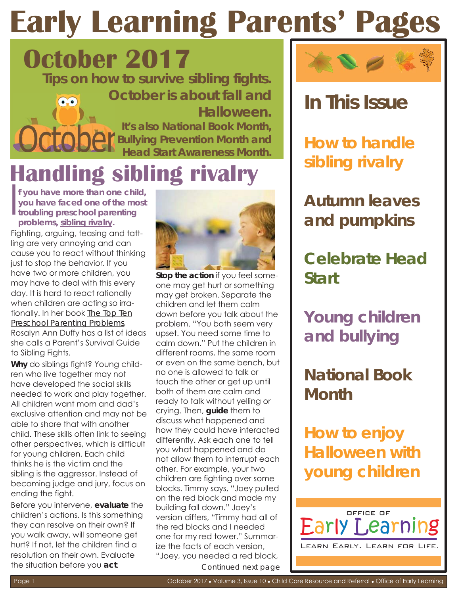## **Early Learning Parents' Page**

**October 2017** 



### **Handling sibling rivalry**

If you have more than one chil<br>you have faced one of the mo<br>troubling preschool parenting f you have more than one child, **y ou have faced one of the most problems, sibling rivalry.** 

Fighting, arguing, teasing and tattling are very annoying and can cause you to react without thinking just to stop the behavior. If you have two or more children, you may have to deal with this every day. It is hard to react rationally when children are actina so irrationally. In her book *The Top Ten Preschool Parenting Problems*, Rosalyn Ann Duffy has a list of ideas she calls a Parent's Survival Guide to Sibling Fights.

**Why** do siblings fight? Young children who live together may not have developed the social skills needed to work and play together. All children want mom and dad's exclusive attention and may not be able to share that with another child. These skills often link to seeing other perspectives, which is difficult for young children. Each child thinks he is the victim and the sibling is the aggressor. Instead of becoming judge and jury, focus on ending the fight.

Before you intervene, **evaluate** the children's actions. Is this something they can resolve on their own? If you walk away, will someone get hurt? If not, let the children find a resolution on their own. Evaluate the situation before you **act**.



**Stop the action** if you feel someone may get hurt or something may get broken. Separate the children and let them calm down before you talk about the problem. "You both seem very upset. You need some time to calm down." Put the children in different rooms, the same room or even on the same bench, but no one is allowed to talk or touch the other or get up until both of them are calm and ready to talk without yelling or crying. Then, **guide** them to discuss what happened and how they could have interacted differently. Ask each one to tell you what happened and do not allow them to interrupt each other. For example, your two children are fighting over some blocks. Timmy says, "Joey pulled on the red block and made my building fall down." Joey's version differs, "Timmy had all of the red blocks and I needed one for my red tower." Summarize the facts of each version, "Joey, you needed a red block, *Continued next page* 



#### **In This Issue**

**How to handle sibling rivalry** 

**Autumn leaves and pumpkins** 

**Celebrate Head Start** 

**Young children and bullying** 

**National Book Month** 

**How to enjoy Halloween with young children** 

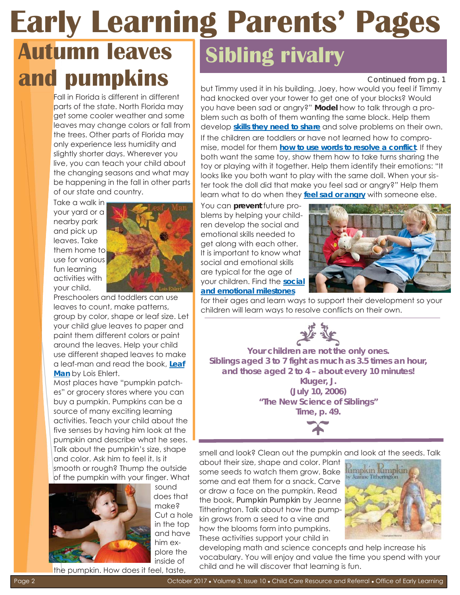#### **Early Learning Parents' Pages Autumn leaves and pumpkins Sibling rivalry**

Fall in Florida is different in different parts of the state. North Florida may get some cooler weather and some leaves may change colors or fall fro m the trees. Other parts of Florida may only experience less humidity and slightly shorter days. Wherever you live, you can teach your child about the changing seasons and what may be happening in the fall in other part s of our state and country.

Take a walk in your yard or a nearby park and pick up leaves. Take them home to use for various fun learning activities with your child.



Preschoolers and toddlers can use leaves to count, make patterns, group by color, shape or leaf size. Let your child glue leaves to paper and paint them different colors or paint around the leaves. Help your child use different shaped leaves to make a leaf-man and read the book, **Leaf Man** by Lois Ehlert.

Most places have "pumpkin patches" or grocery stores where you can buy a pumpkin. Pumpkins can be a source of many exciting learning activities. Teach your child about the five senses by having him look at the pumpkin and describe what he sees. Talk about the pumpkin's size, shape and color. Ask him to feel it. Is it smooth or rough? Thump the outside of the pumpkin with your finger. What



sound does that make? Cut a hol e in the top and hav e him explore the inside of

*Continued from pg. 1* 

but Timmy used it in his building. Joey, how would you feel if Timmy had knocked over your tower to get one of your blocks? Would you have been sad or angry?" **Model** how to talk through a problem such as both of them wanting the same block. Help them develop **skills they need to share** and solve problems on their own. If the children are toddlers or have not learned how to compromise, model for them **how to use words to resolve a conflict**. If they both want the same toy, show them how to take turns sharing the toy or playing with it together. Help them identify their emotions: "It looks like you both want to play with the same doll. When your sister took the doll did that make you feel sad or angry?" Help them learn what to do when they **feel sad or angry** with someone else.

You can **prevent** future problems by helping your children develop the social and emotional skills needed to get along with each other. It is important to know what social and emotional skills are typical for the age of your children. Find the **social and emotional milestones** 



for their ages and learn ways to support their development so your children will learn ways to resolve conflicts on their own.



Siblings aged 3 to 7 fight as much as 3.5 times an hour, **Your children are not the** *only* **ones. and those aged 2 to 4 – about every 10 minutes! Kluger, J. (July 10, 2006) "The New Science of Siblings"**  *Time,* **p. 49.** 

smell and look? Clean out the pumpkin and look at the seeds. Talk

about their size, shape and color. Plant some seeds to watch them grow. Bake some and eat them for a snack. Carve or draw a face on the pumpkin. Read the book, *Pumpkin Pumpkin* by Jeanne Titherington. Talk about how the pumpkin grows from a seed to a vine and how the blooms form into pumpkins. These activities support your child in



developing math and science concepts and help increase his vocabulary. You will enjoy and value the time you spend with your child and he will discover that learning is fun.

the pumpkin. How does it feel, taste,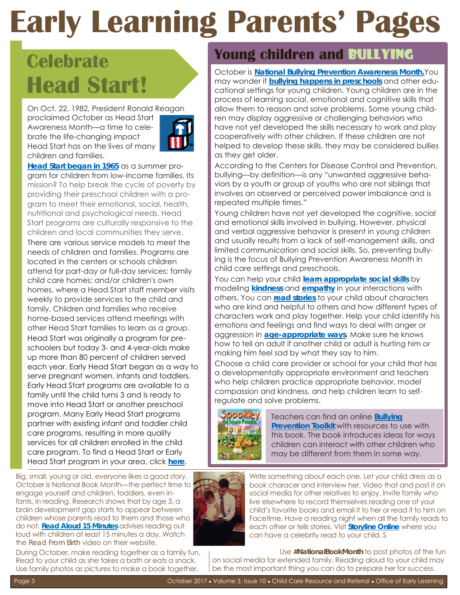## **Early Learning Parents' Pages**

### **Celebrate Head Start!**

On Oct. 22, 1982, President Ronald Reagan proclaimed October as Head Start Awareness Month—a time to celebrate the life-changing impact Head Start has on the lives of many children and families.



**Head Start began in 1965** as a summer program for children from low-income families. Its mission? To help break the cycle of poverty by providing their preschool children with a program to meet their emotional, social, health, nutritional and psychological needs. Head Start programs are culturally responsive to the children and local communities they serve. There are various service models to meet the needs of children and families. Programs are located in the centers or schools children attend for part-day or full-day services; family child care homes; and/or children's own homes, where a Head Start staff member visits weekly to provide services to the child and family. Children and families who receive home-based services attend meetings with other Head Start families to learn as a group. Head Start was originally a program for preschoolers but today 3- and 4-year-olds make up more than 80 percent of children served each year. Early Head Start began as a way to serve pregnant women, infants and toddlers. Early Head Start programs are available to a family until the child turns 3 and is ready to move into Head Start or another preschool program. Many Early Head Start programs partner with existing infant and toddler child care programs, resulting in more quality services for all children enrolled in the child care program. To find a Head Start or Early Head Start program in your area, click **here**.

Big, small, young or old, everyone likes a good story. October is National Book Month—the perfect time to engage yourself and children, toddlers, even infants, in reading. Research shows that by age 3, a brain development gap starts to appear between children whose parents read to them and those who do not. **Read Aloud 15 Minutes** advises reading out loud with children at least 15 minutes a day. Watch the *Read From Birth* video on their website.

During October, make reading together as a family fun . Read to your child as she takes a bath or eats a snack. Use family photos as pictures to make a book together.

#### **Young children and** bullying

October is **National Bullying Prevention Awareness Month.**You may wonder if **bullying happens in preschools** and other educational settings for young children. Young children are in the process of learning social, emotional and cognitive skills that allow them to reason and solve problems. Some young children may display aggressive or challenging behaviors who have not yet developed the skills necessary to work and play cooperatively with other children. If these children are not helped to develop these skills, they may be considered bullies as they get older.

According to the Centers for Disease Control and Prevention, bullying—by definition—is any "unwanted aggressive behaviors by a youth or group of youths who are not siblings that involves an observed or perceived power imbalance and is repeated multiple times."

Young children have not yet developed the cognitive, social and emotional skills involved in bullying. However, physical and verbal aggressive behavior is present in young children and usually results from a lack of self-management skills, and limited communication and social skills. So, preventing bullying is the focus of Bullying Prevention Awareness Month in child care settings and preschools.

You can help your child **learn appropriate social skills** by modeling **kindness** and **empathy** in your interactions with others. You can **read stories** to your child about characters who are kind and helpful to others and how different types of characters work and play together. Help your child identify his emotions and feelings and find ways to deal with anger or aggression in **age-appropriate ways**. Make sure he knows how to tell an adult if another child or adult is hurting him or making him feel sad by what they say to him.

Choose a child care provider or school for your child that has a developmentally appropriate environment and teachers who help children practice appropriate behavior, model compassion and kindness, and help children learn to selfregulate and solve problems.



Teachers can find an online **Bullying Prevention Toolkit** with resources to use with this book. The book introduces ideas for ways children can interact with other children who may be different from them in some way.



Write something about each one. Let your child dress as a book characer and interview her. Video that and post it on social media for other relatives to enjoy. Invite family who live elsewhere to record themselves reading one of your child's favorite books and email it to her or read it to him on Facetime. Have a reading night when all the family reads to each other or tells stories. Visit **Storyline Online** where you can have a celebrity read to your child. Stream-

Use #NationalBookMonth to post photos of the fun on social media for extended family. Reading aloud to your child may be the most important thing you can do to prepare her for success.